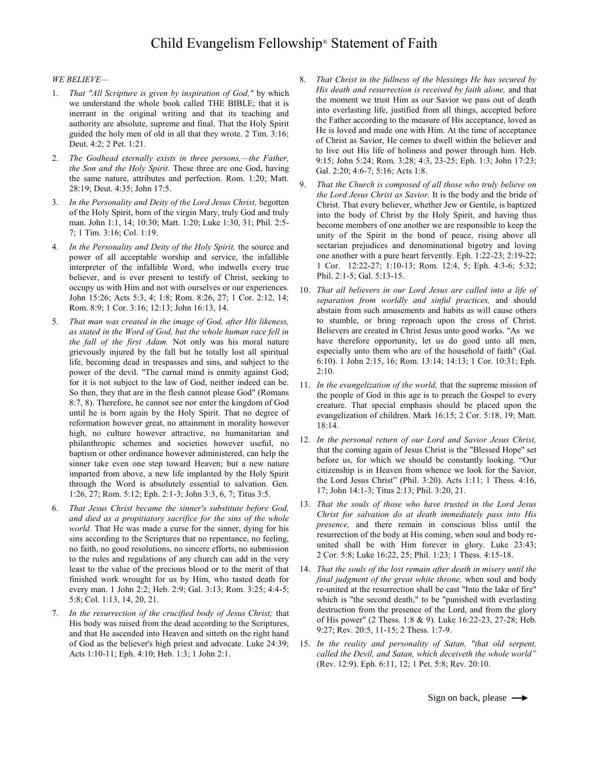## *WE BELIEVE—*

- 1. *That "All Scripture is given by inspiration of God,"* by which we understand the whole book called THE BIBLE; that it is inerrant in the original writing and that its teaching and authority are absolute, supreme and final. That the Holy Spirit guided the holy men of old in all that they wrote. 2 Tim. 3:16; Deut. 4:2; 2 Pet. 1:21.
- 2. *The Godhead eternally exists in three persons,—the Father, the Son and the Holy Spirit.* These three are one God, having the same nature, attributes and perfection. Rom. 1:20; Matt. 28:19; Deut. 4:35; John 17:5.
- 3. *In the Personality and Deity of the Lord Jesus Christ,* begotten of the Holy Spirit, born of the virgin Mary, truly God and truly man. John 1:1, 14; 10:30; Matt. 1:20; Luke 1:30, 31; Phil. 2:5- 7; 1 Tim. 3:16; Col. 1:19.
- 4. *In the Personality and Deity of the Holy Spirit,* the source and power of all acceptable worship and service, the infallible interpreter of the infallible Word, who indwells every true believer, and is ever present to testify of Christ, seeking to occupy us with Him and not with ourselves or our experiences. John 15:26; Acts 5:3, 4; 1:8; Rom. 8:26, 27; 1 Cor. 2:12, 14; Rom. 8:9; 1 Cor. 3:16; 12:13; John 16:13, 14.
- 5. *That man was created in the image of God, after His likeness, as stated in the Word of God, but the whole human race fell in the fall of the first Adam.* Not only was his moral nature grievously injured by the fall but he totally lost all spiritual life, becoming dead in trespasses and sins, and subject to the power of the devil. "The carnal mind is enmity against God; for it is not subject to the law of God, neither indeed can be. So then, they that are in the flesh cannot please God" (Romans 8:7, 8). Therefore, he cannot see nor enter the kingdom of God until he is born again by the Holy Spirit. That no degree of reformation however great, no attainment in morality however high, no culture however attractive, no humanitarian and philanthropic schemes and societies however useful, no baptism or other ordinance however administered, can help the sinner take even one step toward Heaven; but a new nature imparted from above, a new life implanted by the Holy Spirit through the Word is absolutely essential to salvation. Gen. 1:26, 27; Rom. 5:12; Eph. 2:1-3; John 3:3, 6, 7; Titus 3:5.
- 6. *That Jesus Christ became the sinner's substitute before God, and died as a propitiatory sacrifice for the sins of the whole world.* That He was made a curse for the sinner, dying for his sins according to the Scriptures that no repentance, no feeling, no faith, no good resolutions, no sincere efforts, no submission to the rules and regulations of any church can add in the very least to the value of the precious blood or to the merit of that finished work wrought for us by Him, who tasted death for every man. 1 John 2:2; Heb. 2:9; Gal. 3:13; Rom. 3:25; 4:4-5; 5:8; Col. 1:13, 14, 20, 21.
- 7. *In the resurrection of the crucified body of Jesus Christ;* that His body was raised from the dead according to the Scriptures, and that He ascended into Heaven and sitteth on the right hand of God as the believer's high priest and advocate. Luke 24:39; Acts 1:10-11; Eph. 4:10; Heb. 1:3; 1 John 2:1.
- 8. *That Christ in the fullness of the blessings He has secured by His death and resurrection is received by faith alone,* and that the moment we trust Him as our Savior we pass out of death into everlasting life, justified from all things, accepted before the Father according to the measure of His acceptance, loved as He is loved and made one with Him. At the time of acceptance of Christ as Savior, He comes to dwell within the believer and to live out His life of holiness and power through him. Heb. 9:15; John 5:24; Rom. 3:28; 4:3, 23-25; Eph. 1:3; John 17:23; Gal. 2:20; 4:6-7; 5:16; Acts 1:8.
- 9. *That the Church is composed of all those who truly believe on the Lord Jesus Christ as Savior.* It is the body and the bride of Christ. That every believer, whether Jew or Gentile, is baptized into the body of Christ by the Holy Spirit, and having thus become members of one another we are responsible to keep the unity of the Spirit in the bond of peace, rising above all sectarian prejudices and denominational bigotry and loving one another with a pure heart fervently. Eph. 1:22-23; 2:19-22; 1 Cor. 12:22-27; 1:10-13; Rom. 12:4, 5; Eph. 4:3-6; 5:32; Phil. 2:1-5; Gal. 5:13-15.
- 10. *That all believers in our Lord Jesus are called into a life of separation from worldly and sinful practices,* and should abstain from such amusements and habits as will cause others to stumble, or bring reproach upon the cross of Christ. Believers are created in Christ Jesus unto good works. "As we have therefore opportunity, let us do good unto all men, especially unto them who are of the household of faith" (Gal. 6:10). 1 John 2:15, 16; Rom. 13:14; 14:13; 1 Cor. 10:31; Eph. 2:10.
- 11. *In the evangelization of the world,* that the supreme mission of the people of God in this age is to preach the Gospel to every creature. That special emphasis should be placed upon the evangelization of children. Mark 16:15; 2 Cor. 5:18, 19; Matt. 18:14.
- 12. *In the personal return of our Lord and Savior Jesus Christ,*  that the coming again of Jesus Christ is the "Blessed Hope" set before us, for which we should be constantly looking. "Our citizenship is in Heaven from whence we look for the Savior, the Lord Jesus Christ" (Phil. 3:20). Acts 1:11; 1 Thess. 4:16, 17; John 14:1-3; Titus 2:13; Phil. 3:20, 21.
- 13. *That the souls of those who have trusted in the Lord Jesus Christ for salvation do at death immediately pass into His presence,* and there remain in conscious bliss until the resurrection of the body at His coming, when soul and body reunited shall be with Him forever in glory. Luke 23:43; 2 Cor. 5:8; Luke 16:22, 25; Phil. 1:23; 1 Thess. 4:15-18.
- 14. *That the souls of the lost remain after death in misery until the final judgment of the great white throne,* when soul and body re-united at the resurrection shall be cast "Into the lake of fire" which is "the second death," to be "punished with everlasting destruction from the presence of the Lord, and from the glory of His power" (2 Thess. 1:8 & 9). Luke 16:22-23, 27-28; Heb. 9:27; Rev. 20:5, 11-15; 2 Thess. 1:7-9.
- 15. *In the reality and personality of Satan, "that old serpent, called the Devil, and Satan, which deceiveth the whole world"*  (Rev. 12:9). Eph. 6:11, 12; 1 Pet. 5:8; Rev. 20:10.